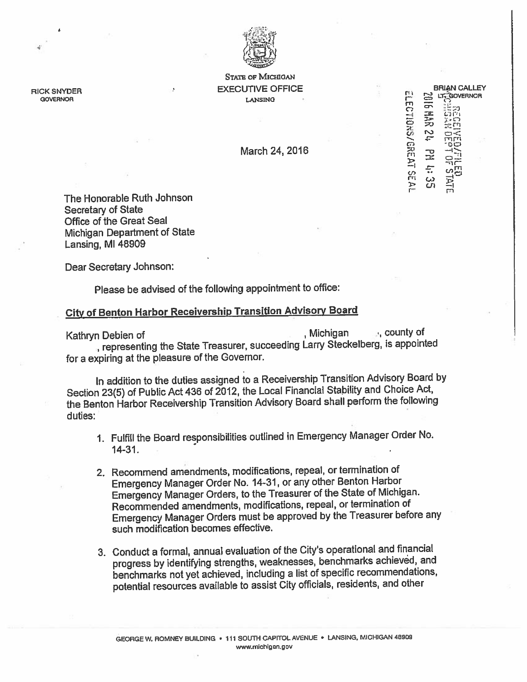

STATE OF MICHIGAN RICK SNYDER PRODUCE A SAME CALLEY SEXECUTIVE OFFICE A BRIAN CALLEY SINTUER CONTROL CHARGE CALL CATALOGE CONTROL CHARGE CONTROL CHARGE CONTROL CHARGE CONTROL CHARGE CONTROL CHARGE CONTROL CHARGE CONTROL CHARGE CONTROL CHARGE CONTROL CHARGE CONTROL CHARGE CONTROL CHARGE CONTROL CHARGE CONTR

March 24, 2016 **r**  $\ddot{a}$  -D  $\ddot{b}$  -D  $\ddot{c}$ 

or En t — <sup>r</sup>' ;.t, '

 $\sim$   $\pi$  rnrd

LECTIONS/GREAT SEAL

— —

re c.. U) I- fri

The Honorable Ruth Johnson Secretary of State Office of the Great Seal Michigan Department of State Lansing, Ml 45909

Dear Secretary Johnson:

Please be advised of the following appointment to office:

## City of Benton Harbor Receivership Transition Advisory Board

Kathryn Debien of Michigan <sub>(Mich</sub>igan <sub>)</sub>, Michigan <sub>(Mich</sub>igan ), county of representing the State Treasurer, succeeding Larry Steckelbery, is appointed for <sup>a</sup> expiring at the <sup>p</sup>leasure of the Governor.

In addition to the duties assigned to <sup>a</sup> Receivership Transition Advisory Board by Section 23(5) of Public Act <sup>436</sup> of 2012, the Local Financial Stability and Choice Act, the Benton Harbor Receivership Transition Advisory Board shall perform the following duties:

- 1. Fulfill the Board responsibilities outlined in Emergency Manager Order No. 14-31.
- 2. Recommend amendments, modifications, repeal, or termination of Emergency Manager Order No. 14-31, or any other Benton Harbor Emergency Manager Orders, to the Treasurer of the State of Michigan. Recommended amendments, modifications, repeal, or termination of Emergency Manager Orders must be approve<sup>d</sup> by the Treasurer before any such modification becomes effective.
- 3. Conduct <sup>a</sup> formal, annual evaluation of the City's operational and financial progress by identifying strengths, weaknesses, benchmarks achieved, and benchmarks not ye<sup>t</sup> achieved, including <sup>a</sup> list of specific recommendations, potential resources available to assist City officials, residents, and other